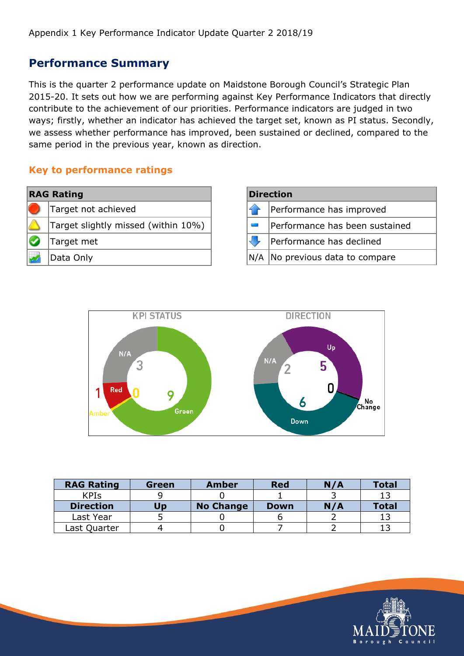### **Performance Summary**

This is the quarter 2 performance update on Maidstone Borough Council's Strategic Plan 2015-20. It sets out how we are performing against Key Performance Indicators that directly contribute to the achievement of our priorities. Performance indicators are judged in two ways; firstly, whether an indicator has achieved the target set, known as PI status. Secondly, we assess whether performance has improved, been sustained or declined, compared to the same period in the previous year, known as direction.

#### **Key to performance ratings**

| <b>RAG Rating</b> |                                     |  |  |  |  |
|-------------------|-------------------------------------|--|--|--|--|
|                   | Target not achieved                 |  |  |  |  |
|                   | Target slightly missed (within 10%) |  |  |  |  |
|                   | Target met                          |  |  |  |  |
|                   | Data Only                           |  |  |  |  |

| <b>Direction</b> |                                   |  |  |  |
|------------------|-----------------------------------|--|--|--|
|                  | Performance has improved          |  |  |  |
|                  | Performance has been sustained    |  |  |  |
|                  | Performance has declined          |  |  |  |
|                  | N/A   No previous data to compare |  |  |  |



| <b>RAG Rating</b> | Green | <b>Amber</b>     | <b>Red</b>  | N/A | <b>Total</b> |
|-------------------|-------|------------------|-------------|-----|--------------|
| <b>KPIs</b>       |       |                  |             |     |              |
| <b>Direction</b>  | Up    | <b>No Change</b> | <b>Down</b> | N/A | <b>Total</b> |
| Last Year         |       |                  |             |     |              |
| Last Quarter      |       |                  |             |     |              |

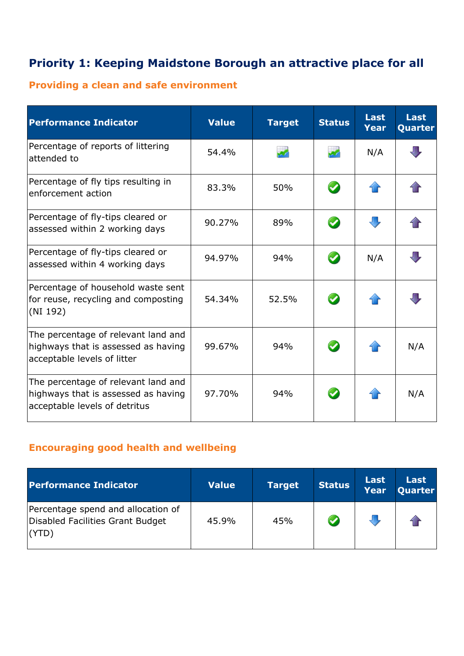# **Priority 1: Keeping Maidstone Borough an attractive place for all**

## **Providing a clean and safe environment**

| <b>Performance Indicator</b>                                                                                | <b>Value</b> | <b>Target</b> | <b>Status</b>         | <b>Last</b><br><b>Year</b> | <b>Last</b><br>Quarter |
|-------------------------------------------------------------------------------------------------------------|--------------|---------------|-----------------------|----------------------------|------------------------|
| Percentage of reports of littering<br>attended to                                                           | 54.4%        |               | $\mathbf{z}$          | N/A                        | JП,                    |
| Percentage of fly tips resulting in<br>enforcement action                                                   | 83.3%        | 50%           | $\bullet$             |                            |                        |
| Percentage of fly-tips cleared or<br>assessed within 2 working days                                         | 90.27%       | 89%           | $\bullet$             |                            |                        |
| Percentage of fly-tips cleared or<br>assessed within 4 working days                                         | 94.97%       | 94%           | $\bullet$             | N/A                        |                        |
| Percentage of household waste sent<br>for reuse, recycling and composting<br>(NI 192)                       | 54.34%       | 52.5%         | $\boldsymbol{\omega}$ |                            |                        |
| The percentage of relevant land and<br>highways that is assessed as having<br>acceptable levels of litter   | 99.67%       | 94%           | $\bullet$             |                            | N/A                    |
| The percentage of relevant land and<br>highways that is assessed as having<br>acceptable levels of detritus | 97.70%       | 94%           |                       |                            | N/A                    |

#### **Encouraging good health and wellbeing**

| <b>Performance Indicator</b>                                                    | <b>Value</b> | <b>Target</b> | <b>Status</b> | <b>Last</b><br><b>Year</b> | Last<br><b>Quarter</b> |
|---------------------------------------------------------------------------------|--------------|---------------|---------------|----------------------------|------------------------|
| Percentage spend and allocation of<br>Disabled Facilities Grant Budget<br>(YTD) | 45.9%        | 45%           |               |                            |                        |